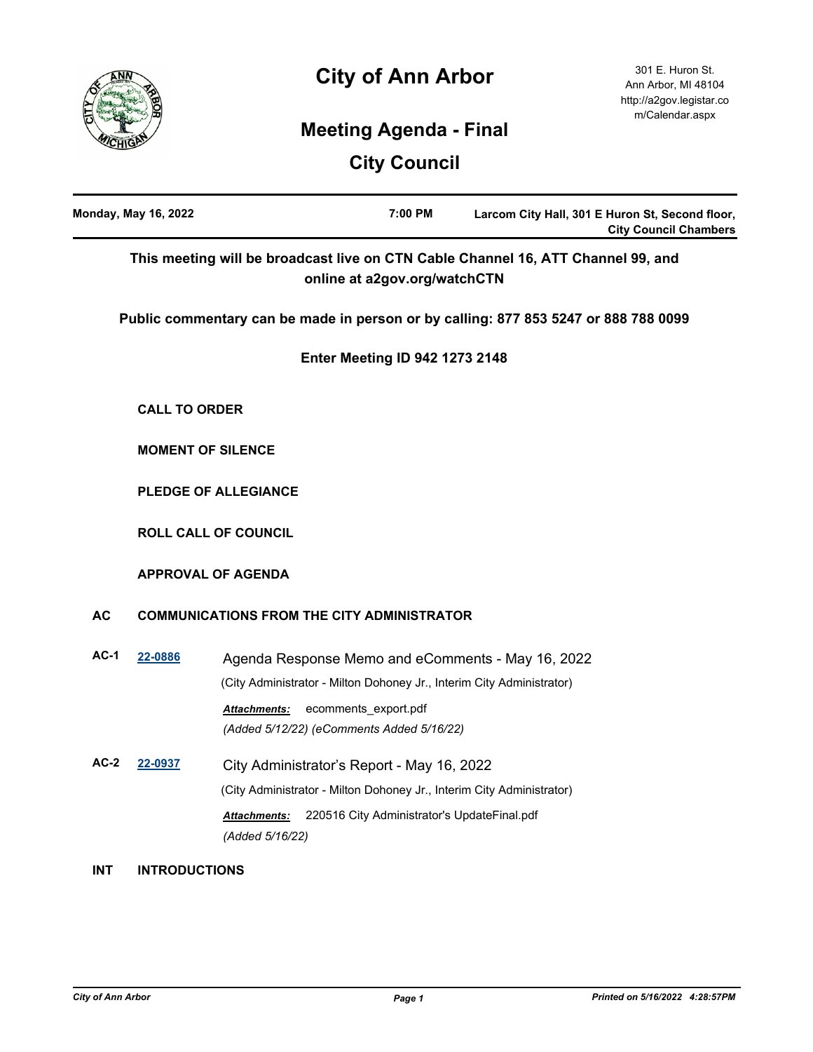



301 E. Huron St. Ann Arbor, MI 48104 http://a2gov.legistar.co m/Calendar.aspx

# **Meeting Agenda - Final**

**City Council**

|            | <b>Monday, May 16, 2022</b> |                                                                                                                                                        | 7:00 PM                                     | Larcom City Hall, 301 E Huron St, Second floor,<br><b>City Council Chambers</b>     |
|------------|-----------------------------|--------------------------------------------------------------------------------------------------------------------------------------------------------|---------------------------------------------|-------------------------------------------------------------------------------------|
|            |                             |                                                                                                                                                        | online at a2gov.org/watchCTN                | This meeting will be broadcast live on CTN Cable Channel 16, ATT Channel 99, and    |
|            |                             |                                                                                                                                                        |                                             | Public commentary can be made in person or by calling: 877 853 5247 or 888 788 0099 |
|            |                             |                                                                                                                                                        | <b>Enter Meeting ID 942 1273 2148</b>       |                                                                                     |
|            | <b>CALL TO ORDER</b>        |                                                                                                                                                        |                                             |                                                                                     |
|            |                             | <b>MOMENT OF SILENCE</b>                                                                                                                               |                                             |                                                                                     |
|            |                             | <b>PLEDGE OF ALLEGIANCE</b>                                                                                                                            |                                             |                                                                                     |
|            |                             | <b>ROLL CALL OF COUNCIL</b>                                                                                                                            |                                             |                                                                                     |
|            |                             | <b>APPROVAL OF AGENDA</b>                                                                                                                              |                                             |                                                                                     |
| <b>AC</b>  |                             | <b>COMMUNICATIONS FROM THE CITY ADMINISTRATOR</b>                                                                                                      |                                             |                                                                                     |
| $AC-1$     | 22-0886                     | (City Administrator - Milton Dohoney Jr., Interim City Administrator)<br>Attachments:<br>(Added 5/12/22) (eComments Added 5/16/22)                     | ecomments_export.pdf                        | Agenda Response Memo and eComments - May 16, 2022                                   |
| $AC-2$     | 22-0937                     | City Administrator's Report - May 16, 2022<br>(City Administrator - Milton Dohoney Jr., Interim City Administrator)<br>Attachments:<br>(Added 5/16/22) | 220516 City Administrator's UpdateFinal.pdf |                                                                                     |
| <b>INT</b> | <b>INTRODUCTIONS</b>        |                                                                                                                                                        |                                             |                                                                                     |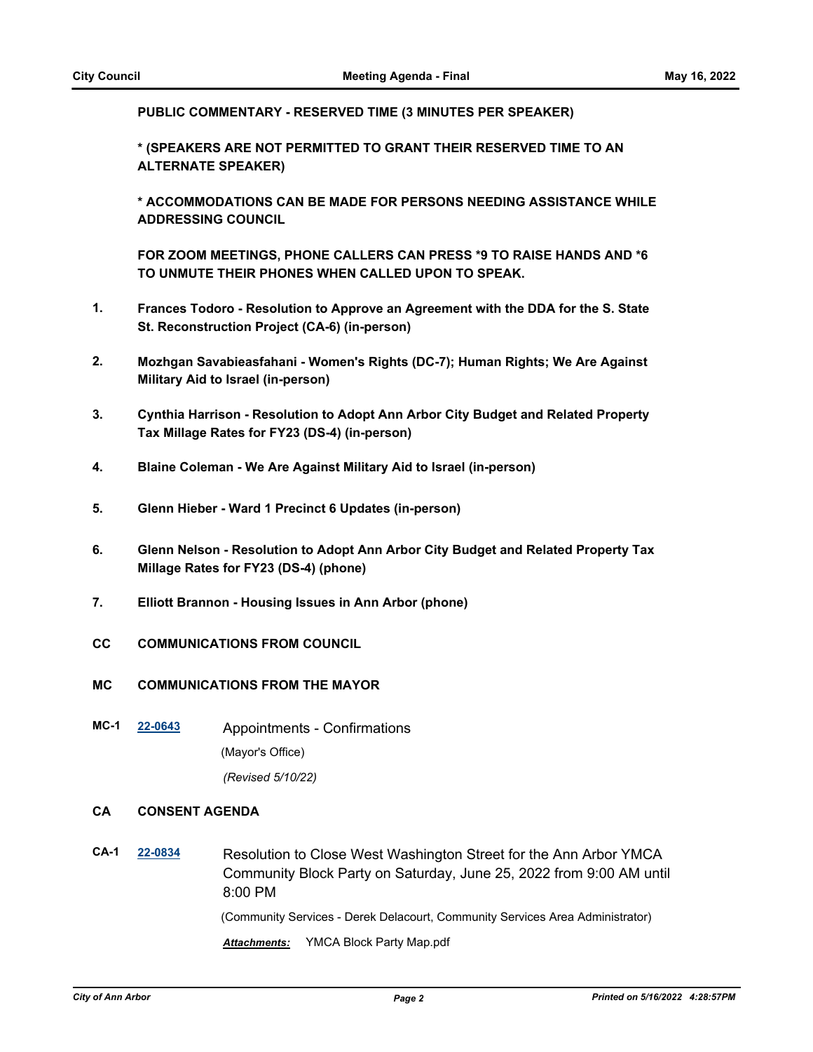**PUBLIC COMMENTARY - RESERVED TIME (3 MINUTES PER SPEAKER)**

**\* (SPEAKERS ARE NOT PERMITTED TO GRANT THEIR RESERVED TIME TO AN ALTERNATE SPEAKER)**

**\* ACCOMMODATIONS CAN BE MADE FOR PERSONS NEEDING ASSISTANCE WHILE ADDRESSING COUNCIL**

**FOR ZOOM MEETINGS, PHONE CALLERS CAN PRESS \*9 TO RAISE HANDS AND \*6 TO UNMUTE THEIR PHONES WHEN CALLED UPON TO SPEAK.**

- **1. Frances Todoro Resolution to Approve an Agreement with the DDA for the S. State St. Reconstruction Project (CA-6) (in-person)**
- **2. Mozhgan Savabieasfahani Women's Rights (DC-7); Human Rights; We Are Against Military Aid to Israel (in-person)**
- **3. Cynthia Harrison Resolution to Adopt Ann Arbor City Budget and Related Property Tax Millage Rates for FY23 (DS-4) (in-person)**
- **4. Blaine Coleman We Are Against Military Aid to Israel (in-person)**
- **5. Glenn Hieber Ward 1 Precinct 6 Updates (in-person)**
- **6. Glenn Nelson Resolution to Adopt Ann Arbor City Budget and Related Property Tax Millage Rates for FY23 (DS-4) (phone)**
- **7. Elliott Brannon Housing Issues in Ann Arbor (phone)**
- **CC COMMUNICATIONS FROM COUNCIL**
- **MC COMMUNICATIONS FROM THE MAYOR**
- **MC-1 [22-0643](http://a2gov.legistar.com/gateway.aspx?M=L&ID=29821)** Appointments Confirmations (Mayor's Office) *(Revised 5/10/22)*

## **CA CONSENT AGENDA**

**CA-1 [22-0834](http://a2gov.legistar.com/gateway.aspx?M=L&ID=30010)** Resolution to Close West Washington Street for the Ann Arbor YMCA Community Block Party on Saturday, June 25, 2022 from 9:00 AM until 8:00 PM (Community Services - Derek Delacourt, Community Services Area Administrator)

*Attachments:* YMCA Block Party Map.pdf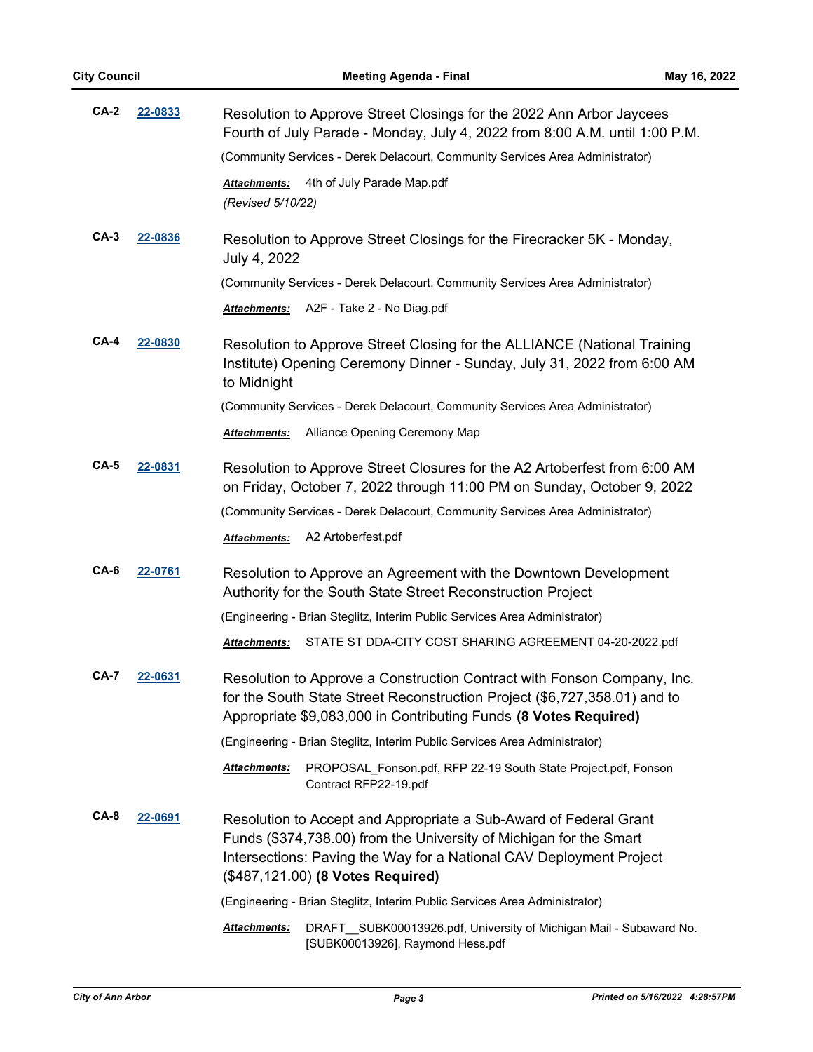| $CA-2$                                | 22-0833                                                                                                                                                                                                                                                        | Resolution to Approve Street Closings for the 2022 Ann Arbor Jaycees<br>Fourth of July Parade - Monday, July 4, 2022 from 8:00 A.M. until 1:00 P.M.                                                                      |  |  |
|---------------------------------------|----------------------------------------------------------------------------------------------------------------------------------------------------------------------------------------------------------------------------------------------------------------|--------------------------------------------------------------------------------------------------------------------------------------------------------------------------------------------------------------------------|--|--|
|                                       |                                                                                                                                                                                                                                                                | (Community Services - Derek Delacourt, Community Services Area Administrator)                                                                                                                                            |  |  |
|                                       |                                                                                                                                                                                                                                                                | 4th of July Parade Map.pdf<br>Attachments:<br>(Revised 5/10/22)                                                                                                                                                          |  |  |
| $CA-3$<br>22-0836                     |                                                                                                                                                                                                                                                                | Resolution to Approve Street Closings for the Firecracker 5K - Monday,<br>July 4, 2022                                                                                                                                   |  |  |
|                                       |                                                                                                                                                                                                                                                                | (Community Services - Derek Delacourt, Community Services Area Administrator)                                                                                                                                            |  |  |
|                                       |                                                                                                                                                                                                                                                                | A2F - Take 2 - No Diag.pdf<br>Attachments:                                                                                                                                                                               |  |  |
| <b>CA-4</b><br>22-0830<br>to Midnight |                                                                                                                                                                                                                                                                | Resolution to Approve Street Closing for the ALLIANCE (National Training<br>Institute) Opening Ceremony Dinner - Sunday, July 31, 2022 from 6:00 AM                                                                      |  |  |
|                                       |                                                                                                                                                                                                                                                                | (Community Services - Derek Delacourt, Community Services Area Administrator)                                                                                                                                            |  |  |
|                                       |                                                                                                                                                                                                                                                                | Alliance Opening Ceremony Map<br><b>Attachments:</b>                                                                                                                                                                     |  |  |
| $CA-5$                                | 22-0831                                                                                                                                                                                                                                                        | Resolution to Approve Street Closures for the A2 Artoberfest from 6:00 AM<br>on Friday, October 7, 2022 through 11:00 PM on Sunday, October 9, 2022                                                                      |  |  |
|                                       |                                                                                                                                                                                                                                                                | (Community Services - Derek Delacourt, Community Services Area Administrator)                                                                                                                                            |  |  |
|                                       |                                                                                                                                                                                                                                                                | A2 Artoberfest.pdf<br>Attachments:                                                                                                                                                                                       |  |  |
| $CA-6$                                | 22-0761                                                                                                                                                                                                                                                        | Resolution to Approve an Agreement with the Downtown Development<br>Authority for the South State Street Reconstruction Project                                                                                          |  |  |
|                                       |                                                                                                                                                                                                                                                                | (Engineering - Brian Steglitz, Interim Public Services Area Administrator)                                                                                                                                               |  |  |
|                                       |                                                                                                                                                                                                                                                                | STATE ST DDA-CITY COST SHARING AGREEMENT 04-20-2022.pdf<br><b>Attachments:</b>                                                                                                                                           |  |  |
| CA-7                                  | 22-0631                                                                                                                                                                                                                                                        | Resolution to Approve a Construction Contract with Fonson Company, Inc.<br>for the South State Street Reconstruction Project (\$6,727,358.01) and to<br>Appropriate \$9,083,000 in Contributing Funds (8 Votes Required) |  |  |
|                                       |                                                                                                                                                                                                                                                                | (Engineering - Brian Steglitz, Interim Public Services Area Administrator)                                                                                                                                               |  |  |
|                                       |                                                                                                                                                                                                                                                                | PROPOSAL_Fonson.pdf, RFP 22-19 South State Project.pdf, Fonson<br>Attachments:<br>Contract RFP22-19.pdf                                                                                                                  |  |  |
| $CA-8$                                | 22-0691<br>Resolution to Accept and Appropriate a Sub-Award of Federal Grant<br>Funds (\$374,738.00) from the University of Michigan for the Smart<br>Intersections: Paving the Way for a National CAV Deployment Project<br>(\$487,121.00) (8 Votes Required) |                                                                                                                                                                                                                          |  |  |
|                                       |                                                                                                                                                                                                                                                                | (Engineering - Brian Steglitz, Interim Public Services Area Administrator)                                                                                                                                               |  |  |
|                                       |                                                                                                                                                                                                                                                                | DRAFT_SUBK00013926.pdf, University of Michigan Mail - Subaward No.<br>Attachments:<br>[SUBK00013926], Raymond Hess.pdf                                                                                                   |  |  |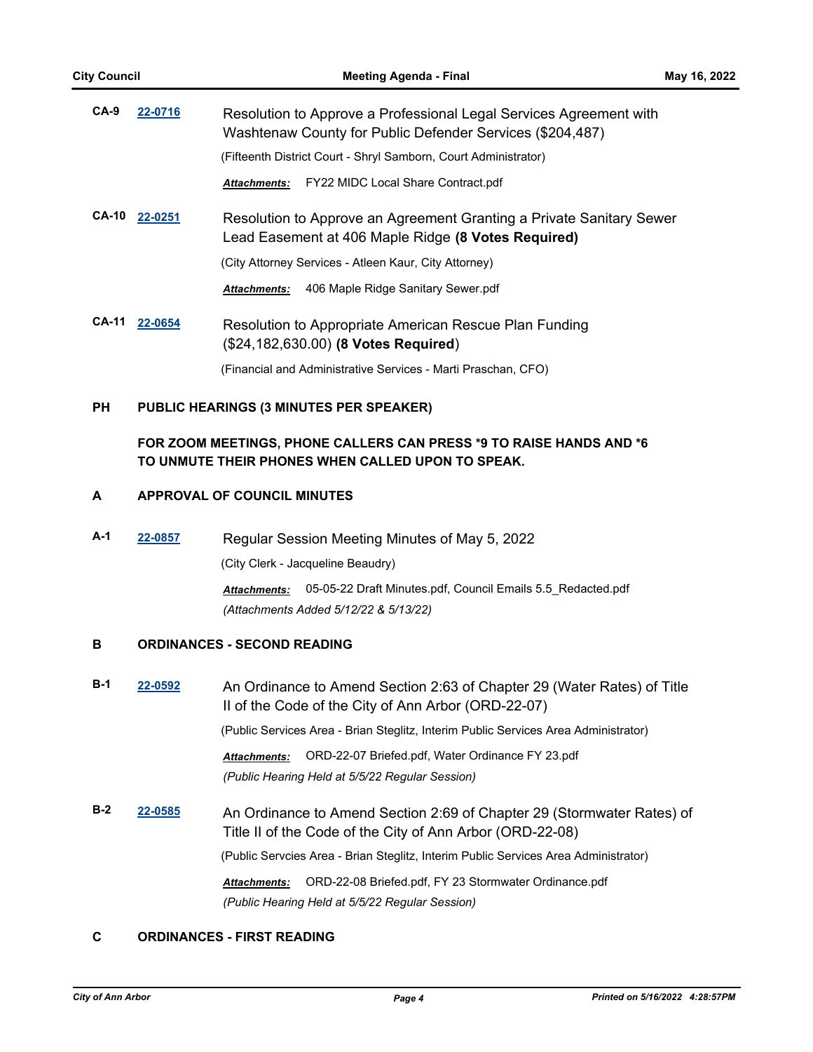| $CA-9$       | 22-0716 | Resolution to Approve a Professional Legal Services Agreement with<br>Washtenaw County for Public Defender Services (\$204,487) |  |
|--------------|---------|---------------------------------------------------------------------------------------------------------------------------------|--|
|              |         | (Fifteenth District Court - Shryl Samborn, Court Administrator)                                                                 |  |
|              |         | Attachments: FY22 MIDC Local Share Contract.pdf                                                                                 |  |
| <b>CA-10</b> | 22-0251 | Resolution to Approve an Agreement Granting a Private Sanitary Sewer<br>Lead Easement at 406 Maple Ridge (8 Votes Required)     |  |
|              |         | (City Attorney Services - Atleen Kaur, City Attorney)                                                                           |  |
|              |         | 406 Maple Ridge Sanitary Sewer.pdf<br><b>Attachments:</b>                                                                       |  |
| <b>CA-11</b> | 22-0654 | Resolution to Appropriate American Rescue Plan Funding<br>(\$24,182,630.00) (8 Votes Required)                                  |  |
|              |         | (Financial and Administrative Services - Marti Praschan, CFO)                                                                   |  |

## **PH PUBLIC HEARINGS (3 MINUTES PER SPEAKER)**

## **FOR ZOOM MEETINGS, PHONE CALLERS CAN PRESS \*9 TO RAISE HANDS AND \*6 TO UNMUTE THEIR PHONES WHEN CALLED UPON TO SPEAK.**

## **A APPROVAL OF COUNCIL MINUTES**

**A-1 [22-0857](http://a2gov.legistar.com/gateway.aspx?M=L&ID=30033)** Regular Session Meeting Minutes of May 5, 2022

(City Clerk - Jacqueline Beaudry)

*Attachments:* 05-05-22 Draft Minutes.pdf, Council Emails 5.5\_Redacted.pdf *(Attachments Added 5/12/22 & 5/13/22)*

## **B ORDINANCES - SECOND READING**

**B-1 [22-0592](http://a2gov.legistar.com/gateway.aspx?M=L&ID=29770)** An Ordinance to Amend Section 2:63 of Chapter 29 (Water Rates) of Title II of the Code of the City of Ann Arbor (ORD-22-07) (Public Services Area - Brian Steglitz, Interim Public Services Area Administrator)

> *Attachments:* ORD-22-07 Briefed.pdf, Water Ordinance FY 23.pdf *(Public Hearing Held at 5/5/22 Regular Session)*

**B-2 [22-0585](http://a2gov.legistar.com/gateway.aspx?M=L&ID=29763)** An Ordinance to Amend Section 2:69 of Chapter 29 (Stormwater Rates) of Title II of the Code of the City of Ann Arbor (ORD-22-08) (Public Servcies Area - Brian Steglitz, Interim Public Services Area Administrator) *Attachments:* ORD-22-08 Briefed.pdf, FY 23 Stormwater Ordinance.pdf *(Public Hearing Held at 5/5/22 Regular Session)*

## **C ORDINANCES - FIRST READING**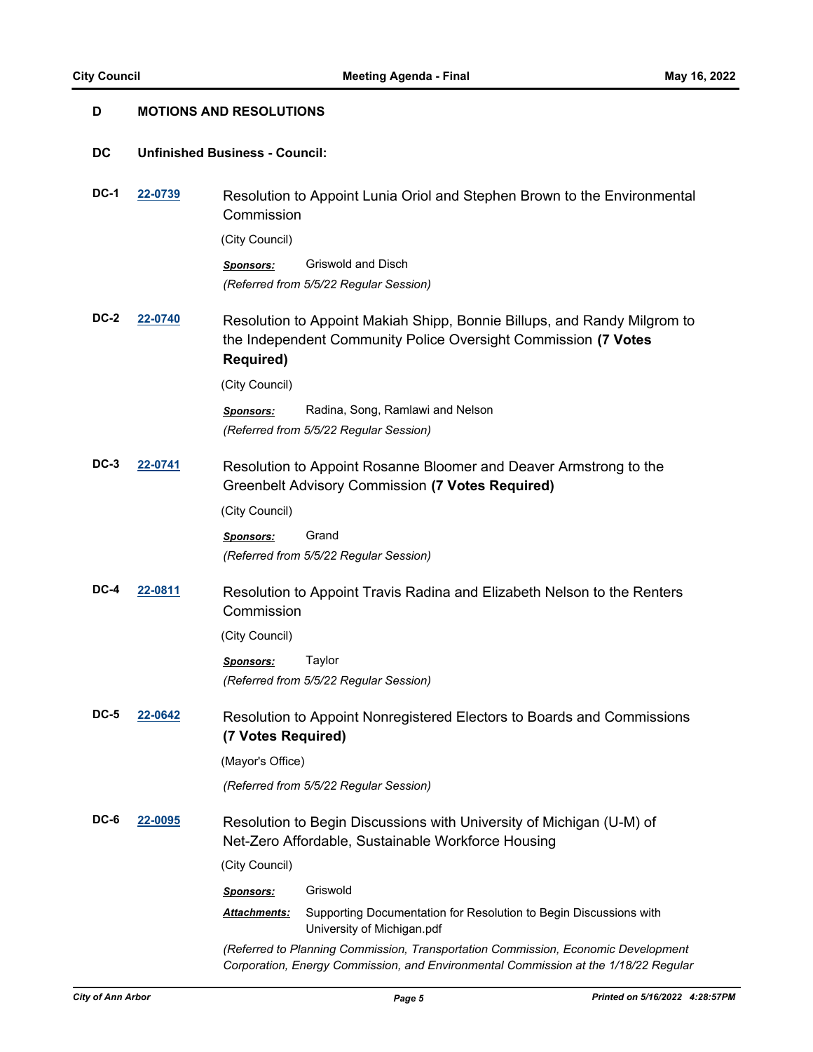| D           | <b>MOTIONS AND RESOLUTIONS</b> |                                                                                                                              |                                                                                                                                                                          |  |
|-------------|--------------------------------|------------------------------------------------------------------------------------------------------------------------------|--------------------------------------------------------------------------------------------------------------------------------------------------------------------------|--|
| DC          |                                | <b>Unfinished Business - Council:</b>                                                                                        |                                                                                                                                                                          |  |
| DC-1        | 22-0739                        | Resolution to Appoint Lunia Oriol and Stephen Brown to the Environmental<br>Commission                                       |                                                                                                                                                                          |  |
|             |                                | (City Council)                                                                                                               |                                                                                                                                                                          |  |
|             |                                | <b>Sponsors:</b>                                                                                                             | Griswold and Disch<br>(Referred from 5/5/22 Regular Session)                                                                                                             |  |
| <b>DC-2</b> | 22-0740                        | <b>Required)</b>                                                                                                             | Resolution to Appoint Makiah Shipp, Bonnie Billups, and Randy Milgrom to<br>the Independent Community Police Oversight Commission (7 Votes                               |  |
|             |                                | (City Council)                                                                                                               |                                                                                                                                                                          |  |
|             |                                | <b>Sponsors:</b>                                                                                                             | Radina, Song, Ramlawi and Nelson<br>(Referred from 5/5/22 Regular Session)                                                                                               |  |
| DC-3        | 22-0741                        | Resolution to Appoint Rosanne Bloomer and Deaver Armstrong to the<br><b>Greenbelt Advisory Commission (7 Votes Required)</b> |                                                                                                                                                                          |  |
|             |                                | (City Council)                                                                                                               |                                                                                                                                                                          |  |
|             |                                | <b>Sponsors:</b>                                                                                                             | Grand<br>(Referred from 5/5/22 Regular Session)                                                                                                                          |  |
| DC-4        | 22-0811                        | Commission                                                                                                                   | Resolution to Appoint Travis Radina and Elizabeth Nelson to the Renters                                                                                                  |  |
|             |                                | (City Council)                                                                                                               |                                                                                                                                                                          |  |
|             |                                | <b>Sponsors:</b>                                                                                                             | Taylor                                                                                                                                                                   |  |
|             |                                |                                                                                                                              | (Referred from 5/5/22 Regular Session)                                                                                                                                   |  |
| <b>DC-5</b> | 22-0642                        | (7 Votes Required)                                                                                                           | Resolution to Appoint Nonregistered Electors to Boards and Commissions                                                                                                   |  |
|             |                                | (Mayor's Office)                                                                                                             |                                                                                                                                                                          |  |
|             |                                |                                                                                                                              | (Referred from 5/5/22 Regular Session)                                                                                                                                   |  |
| DC-6        | 22-0095                        |                                                                                                                              | Resolution to Begin Discussions with University of Michigan (U-M) of<br>Net-Zero Affordable, Sustainable Workforce Housing                                               |  |
|             |                                | (City Council)                                                                                                               |                                                                                                                                                                          |  |
|             |                                | <b>Sponsors:</b>                                                                                                             | Griswold                                                                                                                                                                 |  |
|             |                                | Attachments:                                                                                                                 | Supporting Documentation for Resolution to Begin Discussions with<br>University of Michigan.pdf                                                                          |  |
|             |                                |                                                                                                                              | (Referred to Planning Commission, Transportation Commission, Economic Development<br>Corporation, Energy Commission, and Environmental Commission at the 1/18/22 Regular |  |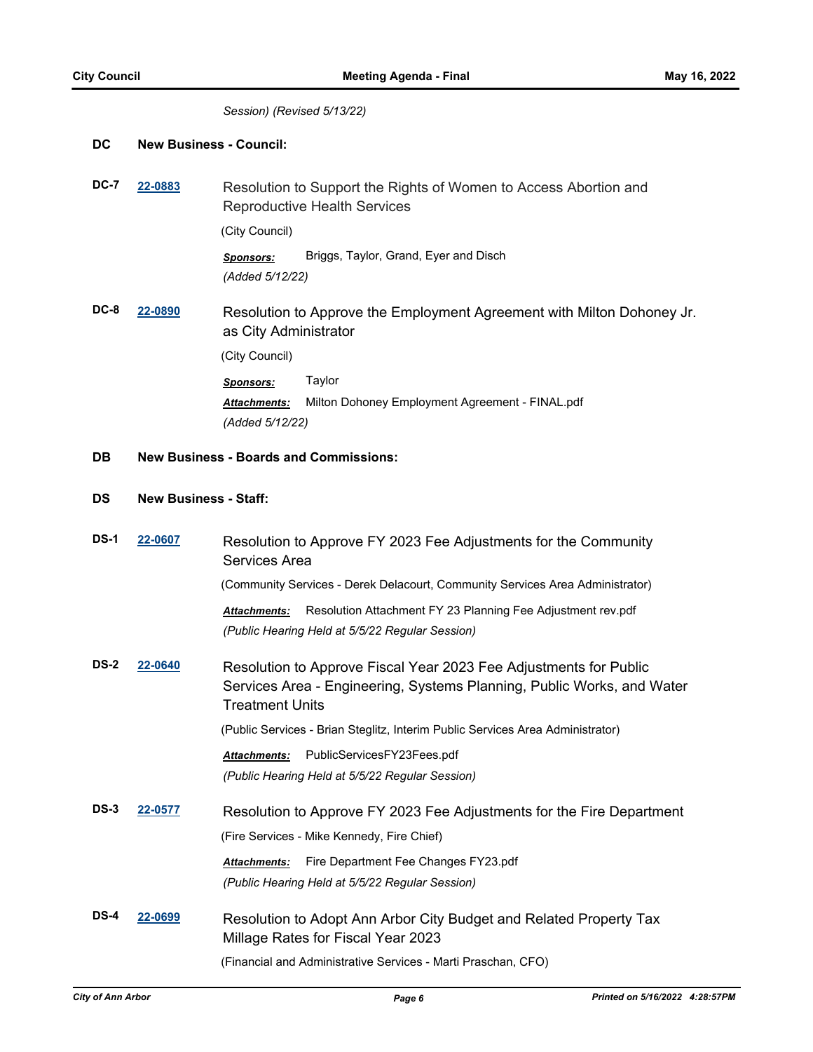#### *Session) (Revised 5/13/22)*

#### **DC New Business - Council:**

**DC-7 [22-0883](http://a2gov.legistar.com/gateway.aspx?M=L&ID=30059)** Resolution to Support the Rights of Women to Access Abortion and Reproductive Health Services (City Council)

> *Sponsors:* Briggs, Taylor, Grand, Eyer and Disch *(Added 5/12/22)*

**DC-8 [22-0890](http://a2gov.legistar.com/gateway.aspx?M=L&ID=30066)** Resolution to Approve the Employment Agreement with Milton Dohoney Jr. as City Administrator (City Council) *Sponsors:* Taylor *Attachments:* Milton Dohoney Employment Agreement - FINAL.pdf *(Added 5/12/22)*

#### **DB New Business - Boards and Commissions:**

## **DS New Business - Staff:**

| <b>DS-1</b> | 22-0607 | Resolution to Approve FY 2023 Fee Adjustments for the Community<br>Services Area                                                                               |  |
|-------------|---------|----------------------------------------------------------------------------------------------------------------------------------------------------------------|--|
|             |         | (Community Services - Derek Delacourt, Community Services Area Administrator)                                                                                  |  |
|             |         | Resolution Attachment FY 23 Planning Fee Adjustment rev.pdf<br><b>Attachments:</b><br>(Public Hearing Held at 5/5/22 Regular Session)                          |  |
| <b>DS-2</b> | 22-0640 | Resolution to Approve Fiscal Year 2023 Fee Adjustments for Public<br>Services Area - Engineering, Systems Planning, Public Works, and Water<br>Treatment Units |  |
|             |         | (Public Services - Brian Steglitz, Interim Public Services Area Administrator)                                                                                 |  |
|             |         | PublicServicesFY23Fees.pdf<br><b>Attachments:</b>                                                                                                              |  |
|             |         | (Public Hearing Held at 5/5/22 Regular Session)                                                                                                                |  |
| $DS-3$      | 22-0577 | Resolution to Approve FY 2023 Fee Adjustments for the Fire Department<br>(Fire Services - Mike Kennedy, Fire Chief)                                            |  |
|             |         | Fire Department Fee Changes FY23.pdf<br><b>Attachments:</b>                                                                                                    |  |
|             |         | (Public Hearing Held at 5/5/22 Regular Session)                                                                                                                |  |
| DS-4        | 22-0699 | Resolution to Adopt Ann Arbor City Budget and Related Property Tax<br>Millage Rates for Fiscal Year 2023                                                       |  |
|             |         | (Financial and Administrative Services - Marti Praschan, CFO)                                                                                                  |  |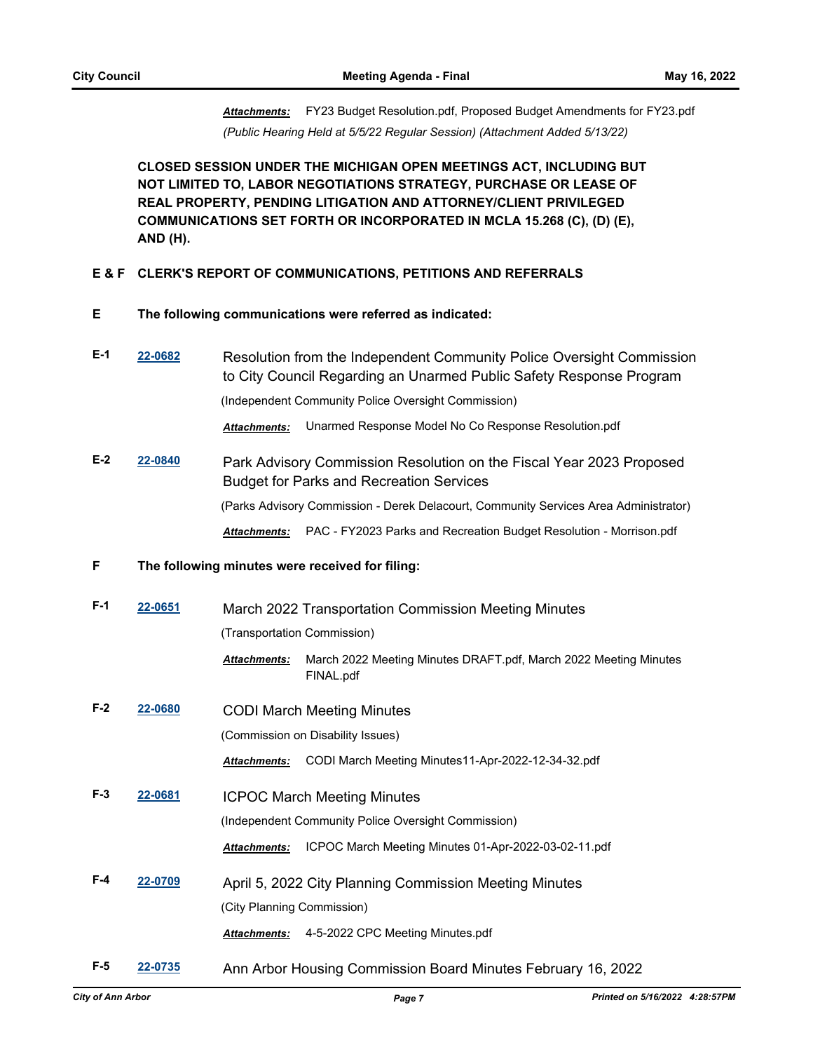*Attachments:* FY23 Budget Resolution.pdf, Proposed Budget Amendments for FY23.pdf *(Public Hearing Held at 5/5/22 Regular Session) (Attachment Added 5/13/22)*

**CLOSED SESSION UNDER THE MICHIGAN OPEN MEETINGS ACT, INCLUDING BUT NOT LIMITED TO, LABOR NEGOTIATIONS STRATEGY, PURCHASE OR LEASE OF REAL PROPERTY, PENDING LITIGATION AND ATTORNEY/CLIENT PRIVILEGED COMMUNICATIONS SET FORTH OR INCORPORATED IN MCLA 15.268 (C), (D) (E), AND (H).**

#### **E & F CLERK'S REPORT OF COMMUNICATIONS, PETITIONS AND REFERRALS**

- **E The following communications were referred as indicated:**
- **E-1 [22-0682](http://a2gov.legistar.com/gateway.aspx?M=L&ID=29860)** Resolution from the Independent Community Police Oversight Commission to City Council Regarding an Unarmed Public Safety Response Program (Independent Community Police Oversight Commission)

*Attachments:* Unarmed Response Model No Co Response Resolution.pdf

**E-2 [22-0840](http://a2gov.legistar.com/gateway.aspx?M=L&ID=30016)** Park Advisory Commission Resolution on the Fiscal Year 2023 Proposed Budget for Parks and Recreation Services (Parks Advisory Commission - Derek Delacourt, Community Services Area Administrator) *Attachments:* PAC - FY2023 Parks and Recreation Budget Resolution - Morrison.pdf

#### **F The following minutes were received for filing:**

| $F-1$ | 22-0651 | March 2022 Transportation Commission Meeting Minutes<br>(Transportation Commission)                                                             |                                                                                                             |
|-------|---------|-------------------------------------------------------------------------------------------------------------------------------------------------|-------------------------------------------------------------------------------------------------------------|
|       |         | <b>Attachments:</b>                                                                                                                             | March 2022 Meeting Minutes DRAFT.pdf, March 2022 Meeting Minutes<br>FINAL.pdf                               |
| $F-2$ | 22-0680 | <b>CODI March Meeting Minutes</b><br>(Commission on Disability Issues)                                                                          |                                                                                                             |
|       |         | <b>Attachments:</b>                                                                                                                             | CODI March Meeting Minutes11-Apr-2022-12-34-32.pdf                                                          |
| $F-3$ | 22-0681 | <b>ICPOC March Meeting Minutes</b>                                                                                                              |                                                                                                             |
|       |         | <b>Attachments:</b>                                                                                                                             | (Independent Community Police Oversight Commission)<br>ICPOC March Meeting Minutes 01-Apr-2022-03-02-11.pdf |
| $F-4$ | 22-0709 | April 5, 2022 City Planning Commission Meeting Minutes<br>(City Planning Commission)<br>4-5-2022 CPC Meeting Minutes.pdf<br><b>Attachments:</b> |                                                                                                             |
| F-5   | 22-0735 |                                                                                                                                                 | Ann Arbor Housing Commission Board Minutes February 16, 2022                                                |